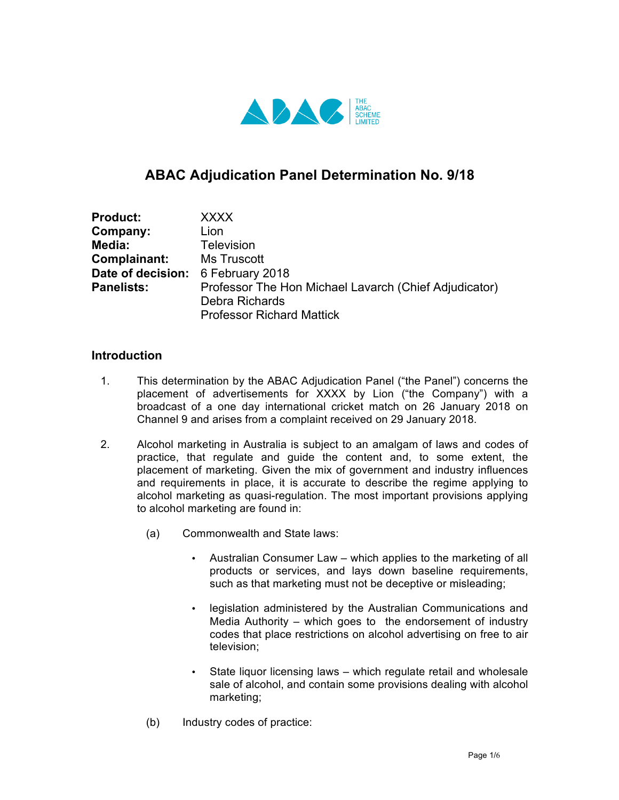

# **ABAC Adjudication Panel Determination No. 9/18**

| <b>Product:</b>                   | <b>XXXX</b>                                           |
|-----------------------------------|-------------------------------------------------------|
| Company:                          | Lion                                                  |
| Media:                            | <b>Television</b>                                     |
| Complainant:                      | Ms Truscott                                           |
| Date of decision: 6 February 2018 |                                                       |
| <b>Panelists:</b>                 | Professor The Hon Michael Lavarch (Chief Adjudicator) |
|                                   | Debra Richards                                        |
|                                   | <b>Professor Richard Mattick</b>                      |

#### **Introduction**

- 1. This determination by the ABAC Adjudication Panel ("the Panel") concerns the placement of advertisements for XXXX by Lion ("the Company") with a broadcast of a one day international cricket match on 26 January 2018 on Channel 9 and arises from a complaint received on 29 January 2018.
- 2. Alcohol marketing in Australia is subject to an amalgam of laws and codes of practice, that regulate and guide the content and, to some extent, the placement of marketing. Given the mix of government and industry influences and requirements in place, it is accurate to describe the regime applying to alcohol marketing as quasi-regulation. The most important provisions applying to alcohol marketing are found in:
	- (a) Commonwealth and State laws:
		- Australian Consumer Law which applies to the marketing of all products or services, and lays down baseline requirements, such as that marketing must not be deceptive or misleading;
		- legislation administered by the Australian Communications and Media Authority – which goes to the endorsement of industry codes that place restrictions on alcohol advertising on free to air television;
		- State liquor licensing laws which regulate retail and wholesale sale of alcohol, and contain some provisions dealing with alcohol marketing;
	- (b) Industry codes of practice: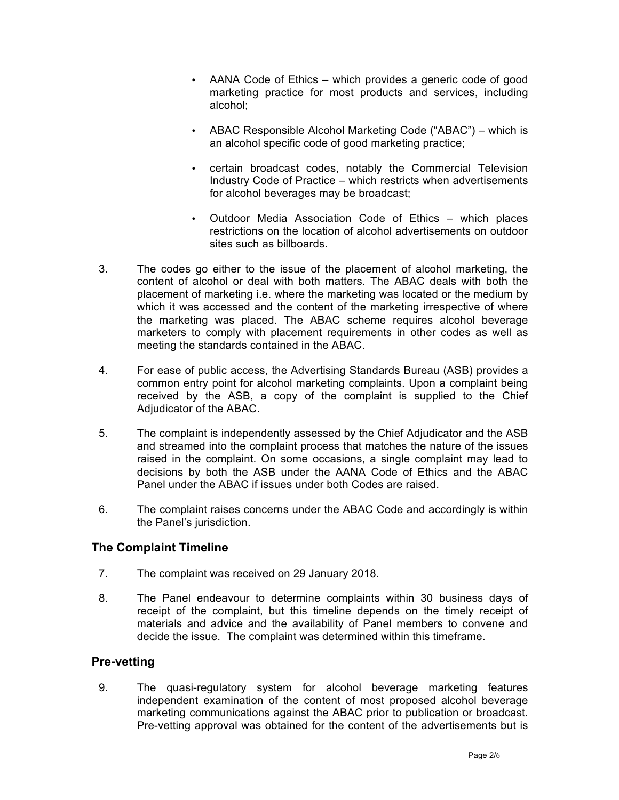- AANA Code of Ethics which provides a generic code of good marketing practice for most products and services, including alcohol;
- ABAC Responsible Alcohol Marketing Code ("ABAC") which is an alcohol specific code of good marketing practice;
- certain broadcast codes, notably the Commercial Television Industry Code of Practice – which restricts when advertisements for alcohol beverages may be broadcast;
- Outdoor Media Association Code of Ethics which places restrictions on the location of alcohol advertisements on outdoor sites such as billboards.
- 3. The codes go either to the issue of the placement of alcohol marketing, the content of alcohol or deal with both matters. The ABAC deals with both the placement of marketing i.e. where the marketing was located or the medium by which it was accessed and the content of the marketing irrespective of where the marketing was placed. The ABAC scheme requires alcohol beverage marketers to comply with placement requirements in other codes as well as meeting the standards contained in the ABAC.
- 4. For ease of public access, the Advertising Standards Bureau (ASB) provides a common entry point for alcohol marketing complaints. Upon a complaint being received by the ASB, a copy of the complaint is supplied to the Chief Adjudicator of the ABAC.
- 5. The complaint is independently assessed by the Chief Adjudicator and the ASB and streamed into the complaint process that matches the nature of the issues raised in the complaint. On some occasions, a single complaint may lead to decisions by both the ASB under the AANA Code of Ethics and the ABAC Panel under the ABAC if issues under both Codes are raised.
- 6. The complaint raises concerns under the ABAC Code and accordingly is within the Panel's jurisdiction.

# **The Complaint Timeline**

- 7. The complaint was received on 29 January 2018.
- 8. The Panel endeavour to determine complaints within 30 business days of receipt of the complaint, but this timeline depends on the timely receipt of materials and advice and the availability of Panel members to convene and decide the issue. The complaint was determined within this timeframe.

# **Pre-vetting**

9. The quasi-regulatory system for alcohol beverage marketing features independent examination of the content of most proposed alcohol beverage marketing communications against the ABAC prior to publication or broadcast. Pre-vetting approval was obtained for the content of the advertisements but is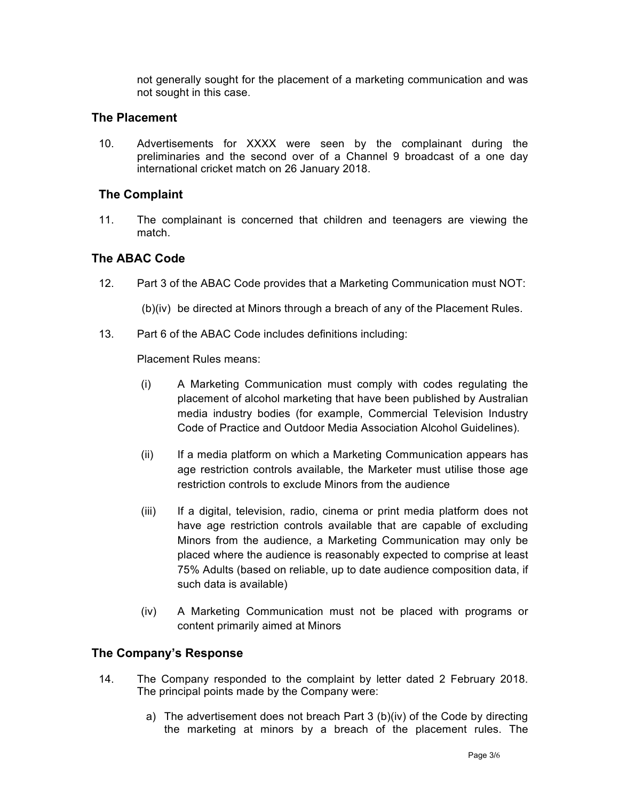not generally sought for the placement of a marketing communication and was not sought in this case.

#### **The Placement**

10. Advertisements for XXXX were seen by the complainant during the preliminaries and the second over of a Channel 9 broadcast of a one day international cricket match on 26 January 2018.

# **The Complaint**

11. The complainant is concerned that children and teenagers are viewing the match.

#### **The ABAC Code**

12. Part 3 of the ABAC Code provides that a Marketing Communication must NOT:

(b)(iv) be directed at Minors through a breach of any of the Placement Rules.

13. Part 6 of the ABAC Code includes definitions including:

Placement Rules means:

- (i) A Marketing Communication must comply with codes regulating the placement of alcohol marketing that have been published by Australian media industry bodies (for example, Commercial Television Industry Code of Practice and Outdoor Media Association Alcohol Guidelines).
- (ii) If a media platform on which a Marketing Communication appears has age restriction controls available, the Marketer must utilise those age restriction controls to exclude Minors from the audience
- (iii) If a digital, television, radio, cinema or print media platform does not have age restriction controls available that are capable of excluding Minors from the audience, a Marketing Communication may only be placed where the audience is reasonably expected to comprise at least 75% Adults (based on reliable, up to date audience composition data, if such data is available)
- (iv) A Marketing Communication must not be placed with programs or content primarily aimed at Minors

# **The Company's Response**

- 14. The Company responded to the complaint by letter dated 2 February 2018. The principal points made by the Company were:
	- a) The advertisement does not breach Part 3 (b)(iv) of the Code by directing the marketing at minors by a breach of the placement rules. The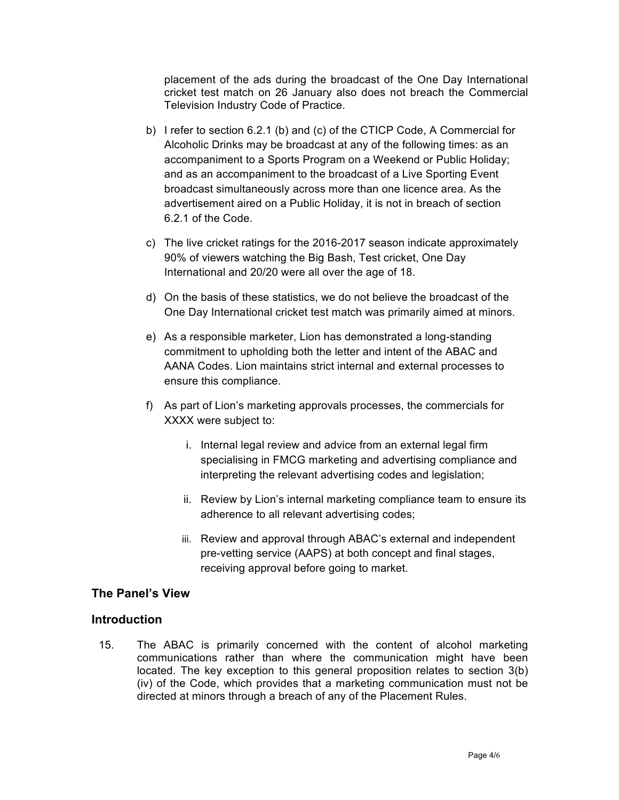placement of the ads during the broadcast of the One Day International cricket test match on 26 January also does not breach the Commercial Television Industry Code of Practice.

- b) I refer to section 6.2.1 (b) and (c) of the CTICP Code, A Commercial for Alcoholic Drinks may be broadcast at any of the following times: as an accompaniment to a Sports Program on a Weekend or Public Holiday; and as an accompaniment to the broadcast of a Live Sporting Event broadcast simultaneously across more than one licence area. As the advertisement aired on a Public Holiday, it is not in breach of section 6.2.1 of the Code.
- c) The live cricket ratings for the 2016-2017 season indicate approximately 90% of viewers watching the Big Bash, Test cricket, One Day International and 20/20 were all over the age of 18.
- d) On the basis of these statistics, we do not believe the broadcast of the One Day International cricket test match was primarily aimed at minors.
- e) As a responsible marketer, Lion has demonstrated a long-standing commitment to upholding both the letter and intent of the ABAC and AANA Codes. Lion maintains strict internal and external processes to ensure this compliance.
- f) As part of Lion's marketing approvals processes, the commercials for XXXX were subject to:
	- i. Internal legal review and advice from an external legal firm specialising in FMCG marketing and advertising compliance and interpreting the relevant advertising codes and legislation;
	- ii. Review by Lion's internal marketing compliance team to ensure its adherence to all relevant advertising codes;
	- iii. Review and approval through ABAC's external and independent pre-vetting service (AAPS) at both concept and final stages, receiving approval before going to market.

# **The Panel's View**

#### **Introduction**

15. The ABAC is primarily concerned with the content of alcohol marketing communications rather than where the communication might have been located. The key exception to this general proposition relates to section 3(b) (iv) of the Code, which provides that a marketing communication must not be directed at minors through a breach of any of the Placement Rules.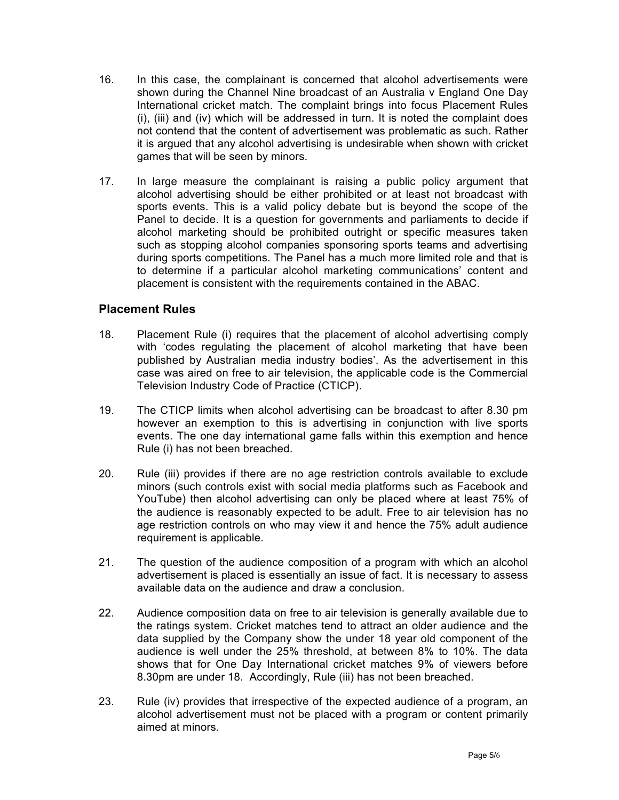- 16. In this case, the complainant is concerned that alcohol advertisements were shown during the Channel Nine broadcast of an Australia v England One Day International cricket match. The complaint brings into focus Placement Rules (i), (iii) and (iv) which will be addressed in turn. It is noted the complaint does not contend that the content of advertisement was problematic as such. Rather it is argued that any alcohol advertising is undesirable when shown with cricket games that will be seen by minors.
- 17. In large measure the complainant is raising a public policy argument that alcohol advertising should be either prohibited or at least not broadcast with sports events. This is a valid policy debate but is beyond the scope of the Panel to decide. It is a question for governments and parliaments to decide if alcohol marketing should be prohibited outright or specific measures taken such as stopping alcohol companies sponsoring sports teams and advertising during sports competitions. The Panel has a much more limited role and that is to determine if a particular alcohol marketing communications' content and placement is consistent with the requirements contained in the ABAC.

#### **Placement Rules**

- 18. Placement Rule (i) requires that the placement of alcohol advertising comply with 'codes regulating the placement of alcohol marketing that have been published by Australian media industry bodies'. As the advertisement in this case was aired on free to air television, the applicable code is the Commercial Television Industry Code of Practice (CTICP).
- 19. The CTICP limits when alcohol advertising can be broadcast to after 8.30 pm however an exemption to this is advertising in conjunction with live sports events. The one day international game falls within this exemption and hence Rule (i) has not been breached.
- 20. Rule (iii) provides if there are no age restriction controls available to exclude minors (such controls exist with social media platforms such as Facebook and YouTube) then alcohol advertising can only be placed where at least 75% of the audience is reasonably expected to be adult. Free to air television has no age restriction controls on who may view it and hence the 75% adult audience requirement is applicable.
- 21. The question of the audience composition of a program with which an alcohol advertisement is placed is essentially an issue of fact. It is necessary to assess available data on the audience and draw a conclusion.
- 22. Audience composition data on free to air television is generally available due to the ratings system. Cricket matches tend to attract an older audience and the data supplied by the Company show the under 18 year old component of the audience is well under the 25% threshold, at between 8% to 10%. The data shows that for One Day International cricket matches 9% of viewers before 8.30pm are under 18. Accordingly, Rule (iii) has not been breached.
- 23. Rule (iv) provides that irrespective of the expected audience of a program, an alcohol advertisement must not be placed with a program or content primarily aimed at minors.